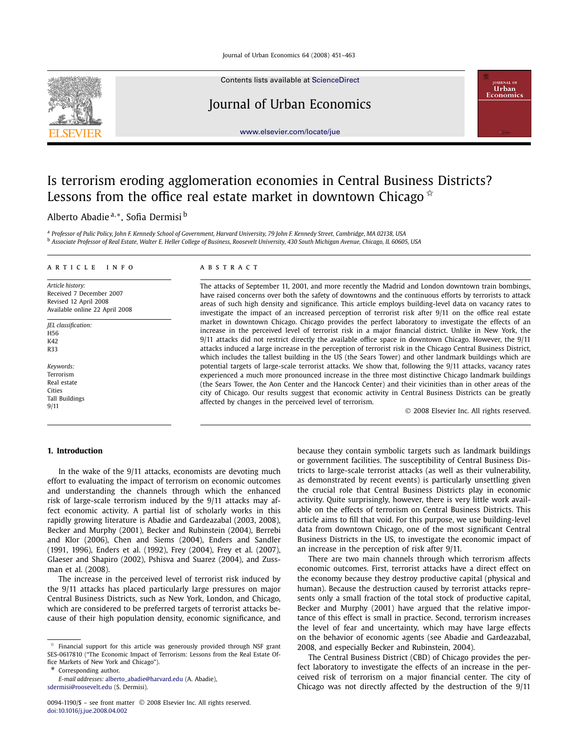

Contents lists available at [ScienceDirect](http://www.ScienceDirect.com/)

## Journal of Urban Economics

[www.elsevier.com/locate/jue](http://www.elsevier.com/locate/jue)



## Is terrorism eroding agglomeration economies in Central Business Districts? Lessons from the office real estate market in downtown Chicago  $\dot{x}$

Alberto Abadie <sup>a</sup>*,*∗, Sofia Dermisi <sup>b</sup>

<sup>a</sup> *Professor of Pulic Policy, John F. Kennedy School of Government, Harvard University, 79 John F. Kennedy Street, Cambridge, MA 02138, USA* <sup>b</sup> *Associate Professor of Real Estate, Walter E. Heller College of Business, Roosevelt University, 430 South Michigan Avenue, Chicago, IL 60605, USA*

### article info abstract

*Article history:* Received 7 December 2007 Revised 12 April 2008 Available online 22 April 2008

*JEL classification:* H56 K42 R33

*Keywords:* Terrorism Real estate Cities Tall Buildings 9/11

The attacks of September 11, 2001, and more recently the Madrid and London downtown train bombings, have raised concerns over both the safety of downtowns and the continuous efforts by terrorists to attack areas of such high density and significance. This article employs building-level data on vacancy rates to investigate the impact of an increased perception of terrorist risk after 9/11 on the office real estate market in downtown Chicago. Chicago provides the perfect laboratory to investigate the effects of an increase in the perceived level of terrorist risk in a major financial district. Unlike in New York, the 9/11 attacks did not restrict directly the available office space in downtown Chicago. However, the 9/11 attacks induced a large increase in the perception of terrorist risk in the Chicago Central Business District, which includes the tallest building in the US (the Sears Tower) and other landmark buildings which are potential targets of large-scale terrorist attacks. We show that, following the 9/11 attacks, vacancy rates experienced a much more pronounced increase in the three most distinctive Chicago landmark buildings (the Sears Tower, the Aon Center and the Hancock Center) and their vicinities than in other areas of the city of Chicago. Our results suggest that economic activity in Central Business Districts can be greatly affected by changes in the perceived level of terrorism.

© 2008 Elsevier Inc. All rights reserved.

### **1. Introduction**

In the wake of the 9/11 attacks, economists are devoting much effort to evaluating the impact of terrorism on economic outcomes and understanding the channels through which the enhanced risk of large-scale terrorism induced by the 9/11 attacks may affect economic activity. A partial list of scholarly works in this rapidly growing literature is Abadie and Gardeazabal (2003, 2008), Becker and Murphy (2001), Becker and Rubinstein (2004), Berrebi and Klor (2006), Chen and Siems (2004), Enders and Sandler (1991, 1996), Enders et al. (1992), Frey (2004), Frey et al. (2007), Glaeser and Shapiro (2002), Pshisva and Suarez (2004), and Zussman et al. (2008).

The increase in the perceived level of terrorist risk induced by the 9/11 attacks has placed particularly large pressures on major Central Business Districts, such as New York, London, and Chicago, which are considered to be preferred targets of terrorist attacks because of their high population density, economic significance, and

Corresponding author.

*E-mail addresses:* [alberto\\_abadie@harvard.edu](mailto:alberto_abadie@harvard.edu) (A. Abadie), [sdermisi@roosevelt.edu](mailto:sdermisi@roosevelt.edu) (S. Dermisi).

because they contain symbolic targets such as landmark buildings or government facilities. The susceptibility of Central Business Districts to large-scale terrorist attacks (as well as their vulnerability, as demonstrated by recent events) is particularly unsettling given the crucial role that Central Business Districts play in economic activity. Quite surprisingly, however, there is very little work available on the effects of terrorism on Central Business Districts. This article aims to fill that void. For this purpose, we use building-level data from downtown Chicago, one of the most significant Central Business Districts in the US, to investigate the economic impact of an increase in the perception of risk after 9/11.

There are two main channels through which terrorism affects economic outcomes. First, terrorist attacks have a direct effect on the economy because they destroy productive capital (physical and human). Because the destruction caused by terrorist attacks represents only a small fraction of the total stock of productive capital, Becker and Murphy (2001) have argued that the relative importance of this effect is small in practice. Second, terrorism increases the level of fear and uncertainty, which may have large effects on the behavior of economic agents (see Abadie and Gardeazabal, 2008, and especially Becker and Rubinstein, 2004).

The Central Business District (CBD) of Chicago provides the perfect laboratory to investigate the effects of an increase in the perceived risk of terrorism on a major financial center. The city of Chicago was not directly affected by the destruction of the 9/11

Financial support for this article was generously provided through NSF grant SES-0617810 ("The Economic Impact of Terrorism: Lessons from the Real Estate Office Markets of New York and Chicago").

<sup>0094-1190/\$ –</sup> see front matter © 2008 Elsevier Inc. All rights reserved. [doi:10.1016/j.jue.2008.04.002](http://dx.doi.org/10.1016/j.jue.2008.04.002)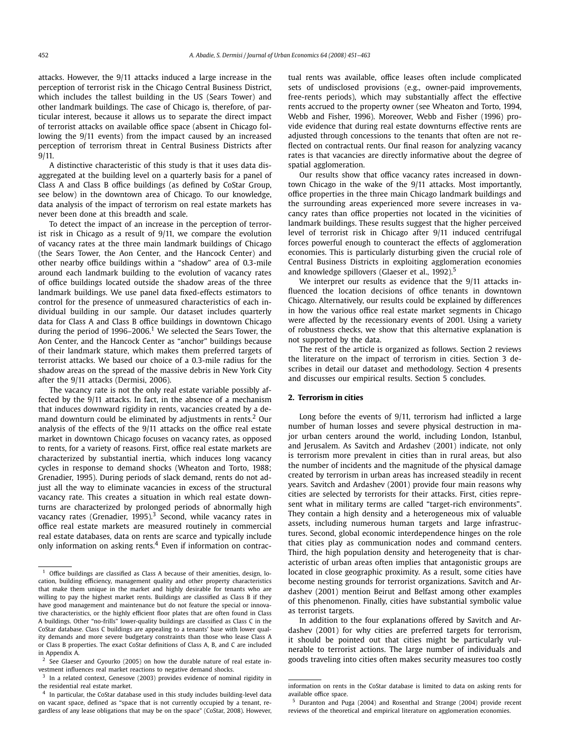perception of terrorism threat in Central Business Districts after 9/11. A distinctive characteristic of this study is that it uses data disaggregated at the building level on a quarterly basis for a panel of

Class A and Class B office buildings (as defined by CoStar Group, see below) in the downtown area of Chicago. To our knowledge, data analysis of the impact of terrorism on real estate markets has never been done at this breadth and scale.

To detect the impact of an increase in the perception of terrorist risk in Chicago as a result of 9/11, we compare the evolution of vacancy rates at the three main landmark buildings of Chicago (the Sears Tower, the Aon Center, and the Hancock Center) and other nearby office buildings within a "shadow" area of 0.3-mile around each landmark building to the evolution of vacancy rates of office buildings located outside the shadow areas of the three landmark buildings. We use panel data fixed-effects estimators to control for the presence of unmeasured characteristics of each individual building in our sample. Our dataset includes quarterly data for Class A and Class B office buildings in downtown Chicago during the period of  $1996-2006$ .<sup>1</sup> We selected the Sears Tower, the Aon Center, and the Hancock Center as "anchor" buildings because of their landmark stature, which makes them preferred targets of terrorist attacks. We based our choice of a 0.3-mile radius for the shadow areas on the spread of the massive debris in New York City after the 9/11 attacks (Dermisi, 2006).

The vacancy rate is not the only real estate variable possibly affected by the 9/11 attacks. In fact, in the absence of a mechanism that induces downward rigidity in rents, vacancies created by a demand downturn could be eliminated by adjustments in rents.<sup>2</sup> Our analysis of the effects of the 9/11 attacks on the office real estate market in downtown Chicago focuses on vacancy rates, as opposed to rents, for a variety of reasons. First, office real estate markets are characterized by substantial inertia, which induces long vacancy cycles in response to demand shocks (Wheaton and Torto, 1988; Grenadier, 1995). During periods of slack demand, rents do not adjust all the way to eliminate vacancies in excess of the structural vacancy rate. This creates a situation in which real estate downturns are characterized by prolonged periods of abnormally high vacancy rates (Grenadier,  $1995$ ).<sup>3</sup> Second, while vacancy rates in office real estate markets are measured routinely in commercial real estate databases, data on rents are scarce and typically include only information on asking rents.<sup>4</sup> Even if information on contractual rents was available, office leases often include complicated sets of undisclosed provisions (e.g., owner-paid improvements, free-rents periods), which may substantially affect the effective rents accrued to the property owner (see Wheaton and Torto, 1994, Webb and Fisher, 1996). Moreover, Webb and Fisher (1996) provide evidence that during real estate downturns effective rents are adjusted through concessions to the tenants that often are not reflected on contractual rents. Our final reason for analyzing vacancy rates is that vacancies are directly informative about the degree of spatial agglomeration.

Our results show that office vacancy rates increased in downtown Chicago in the wake of the 9/11 attacks. Most importantly, office properties in the three main Chicago landmark buildings and the surrounding areas experienced more severe increases in vacancy rates than office properties not located in the vicinities of landmark buildings. These results suggest that the higher perceived level of terrorist risk in Chicago after 9/11 induced centrifugal forces powerful enough to counteract the effects of agglomeration economies. This is particularly disturbing given the crucial role of Central Business Districts in exploiting agglomeration economies and knowledge spillovers (Glaeser et al., 1992).<sup>5</sup>

We interpret our results as evidence that the 9/11 attacks influenced the location decisions of office tenants in downtown Chicago. Alternatively, our results could be explained by differences in how the various office real estate market segments in Chicago were affected by the recessionary events of 2001. Using a variety of robustness checks, we show that this alternative explanation is not supported by the data.

The rest of the article is organized as follows. Section 2 reviews the literature on the impact of terrorism in cities. Section 3 describes in detail our dataset and methodology. Section 4 presents and discusses our empirical results. Section 5 concludes.

### **2. Terrorism in cities**

Long before the events of 9/11, terrorism had inflicted a large number of human losses and severe physical destruction in major urban centers around the world, including London, Istanbul, and Jerusalem. As Savitch and Ardashev (2001) indicate, not only is terrorism more prevalent in cities than in rural areas, but also the number of incidents and the magnitude of the physical damage created by terrorism in urban areas has increased steadily in recent years. Savitch and Ardashev (2001) provide four main reasons why cities are selected by terrorists for their attacks. First, cities represent what in military terms are called "target-rich environments". They contain a high density and a heterogeneous mix of valuable assets, including numerous human targets and large infrastructures. Second, global economic interdependence hinges on the role that cities play as communication nodes and command centers. Third, the high population density and heterogeneity that is characteristic of urban areas often implies that antagonistic groups are located in close geographic proximity. As a result, some cities have become nesting grounds for terrorist organizations. Savitch and Ardashev (2001) mention Beirut and Belfast among other examples of this phenomenon. Finally, cities have substantial symbolic value as terrorist targets.

In addition to the four explanations offered by Savitch and Ardashev (2001) for why cities are preferred targets for terrorism, it should be pointed out that cities might be particularly vulnerable to terrorist actions. The large number of individuals and goods traveling into cities often makes security measures too costly

 $1$  Office buildings are classified as Class A because of their amenities, design, location, building efficiency, management quality and other property characteristics that make them unique in the market and highly desirable for tenants who are willing to pay the highest market rents. Buildings are classified as Class B if they have good management and maintenance but do not feature the special or innovative characteristics, or the highly efficient floor plates that are often found in Class A buildings. Other "no-frills" lower-quality buildings are classified as Class C in the CoStar database. Class C buildings are appealing to a tenants' base with lower quality demands and more severe budgetary constraints than those who lease Class A or Class B properties. The exact CoStar definitions of Class A, B, and C are included in Appendix A.

<sup>&</sup>lt;sup>2</sup> See Glaeser and Gyourko (2005) on how the durable nature of real estate investment influences real market reactions to negative demand shocks.

<sup>&</sup>lt;sup>3</sup> In a related context, Genesove (2003) provides evidence of nominal rigidity in the residential real estate market.

<sup>&</sup>lt;sup>4</sup> In particular, the CoStar database used in this study includes building-level data on vacant space, defined as "space that is not currently occupied by a tenant, regardless of any lease obligations that may be on the space" (CoStar, 2008). However,

information on rents in the CoStar database is limited to data on asking rents for available office space.

<sup>5</sup> Duranton and Puga (2004) and Rosenthal and Strange (2004) provide recent reviews of the theoretical and empirical literature on agglomeration economies.